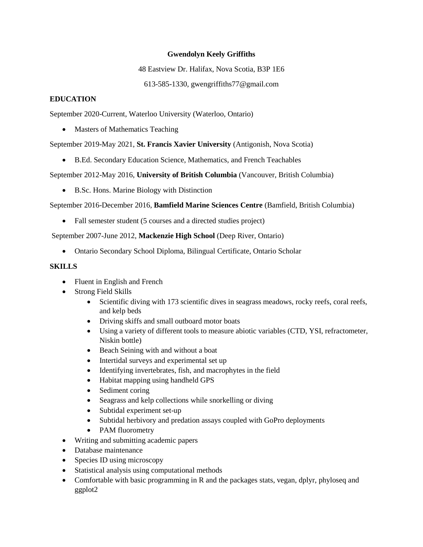## **Gwendolyn Keely Griffiths**

48 Eastview Dr. Halifax, Nova Scotia, B3P 1E6

613-585-1330, gwengriffiths77@gmail.com

## **EDUCATION**

September 2020-Current, Waterloo University (Waterloo, Ontario)

Masters of Mathematics Teaching

September 2019-May 2021, **St. Francis Xavier University** (Antigonish, Nova Scotia)

B.Ed. Secondary Education Science, Mathematics, and French Teachables

September 2012-May 2016, **University of British Columbia** (Vancouver, British Columbia)

B.Sc. Hons. Marine Biology with Distinction

September 2016-December 2016, **Bamfield Marine Sciences Centre** (Bamfield, British Columbia)

• Fall semester student (5 courses and a directed studies project)

September 2007-June 2012, **Mackenzie High School** (Deep River, Ontario)

Ontario Secondary School Diploma, Bilingual Certificate, Ontario Scholar

### **SKILLS**

- Fluent in English and French
- Strong Field Skills
	- Scientific diving with 173 scientific dives in seagrass meadows, rocky reefs, coral reefs, and kelp beds
	- Driving skiffs and small outboard motor boats
	- Using a variety of different tools to measure abiotic variables (CTD, YSI, refractometer, Niskin bottle)
	- Beach Seining with and without a boat
	- Intertidal surveys and experimental set up
	- Identifying invertebrates, fish, and macrophytes in the field
	- Habitat mapping using handheld GPS
	- Sediment coring
	- Seagrass and kelp collections while snorkelling or diving
	- Subtidal experiment set-up
	- Subtidal herbivory and predation assays coupled with GoPro deployments
	- PAM fluorometry
- Writing and submitting academic papers
- Database maintenance
- Species ID using microscopy
- Statistical analysis using computational methods
- Comfortable with basic programming in R and the packages stats, vegan, dplyr, phyloseq and ggplot2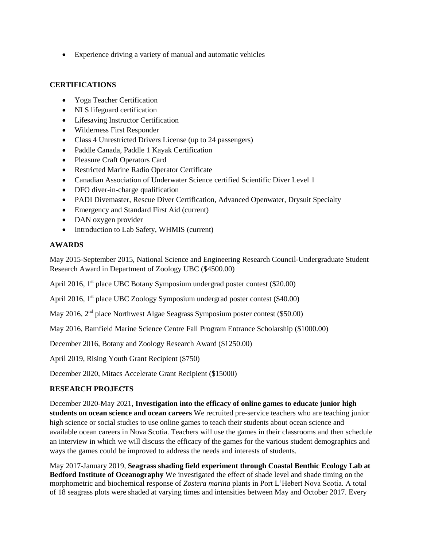Experience driving a variety of manual and automatic vehicles

### **CERTIFICATIONS**

- Yoga Teacher Certification
- NLS lifeguard certification
- Lifesaving Instructor Certification
- Wilderness First Responder
- Class 4 Unrestricted Drivers License (up to 24 passengers)
- Paddle Canada, Paddle 1 Kayak Certification
- Pleasure Craft Operators Card
- Restricted Marine Radio Operator Certificate
- Canadian Association of Underwater Science certified Scientific Diver Level 1
- DFO diver-in-charge qualification
- PADI Divemaster, Rescue Diver Certification, Advanced Openwater, Drysuit Specialty
- Emergency and Standard First Aid (current)
- DAN oxygen provider
- Introduction to Lab Safety, WHMIS (current)

# **AWARDS**

May 2015-September 2015, National Science and Engineering Research Council-Undergraduate Student Research Award in Department of Zoology UBC (\$4500.00)

April 2016, 1<sup>st</sup> place UBC Botany Symposium undergrad poster contest (\$20.00)

April 2016, 1<sup>st</sup> place UBC Zoology Symposium undergrad poster contest (\$40.00)

May 2016, 2<sup>nd</sup> place Northwest Algae Seagrass Symposium poster contest (\$50.00)

May 2016, Bamfield Marine Science Centre Fall Program Entrance Scholarship (\$1000.00)

December 2016, Botany and Zoology Research Award (\$1250.00)

April 2019, Rising Youth Grant Recipient (\$750)

December 2020, Mitacs Accelerate Grant Recipient (\$15000)

# **RESEARCH PROJECTS**

December 2020-May 2021, **Investigation into the efficacy of online games to educate junior high students on ocean science and ocean careers** We recruited pre-service teachers who are teaching junior high science or social studies to use online games to teach their students about ocean science and available ocean careers in Nova Scotia. Teachers will use the games in their classrooms and then schedule an interview in which we will discuss the efficacy of the games for the various student demographics and ways the games could be improved to address the needs and interests of students.

May 2017-January 2019, **Seagrass shading field experiment through Coastal Benthic Ecology Lab at Bedford Institute of Oceanography** We investigated the effect of shade level and shade timing on the morphometric and biochemical response of *Zostera marina* plants in Port L'Hebert Nova Scotia. A total of 18 seagrass plots were shaded at varying times and intensities between May and October 2017. Every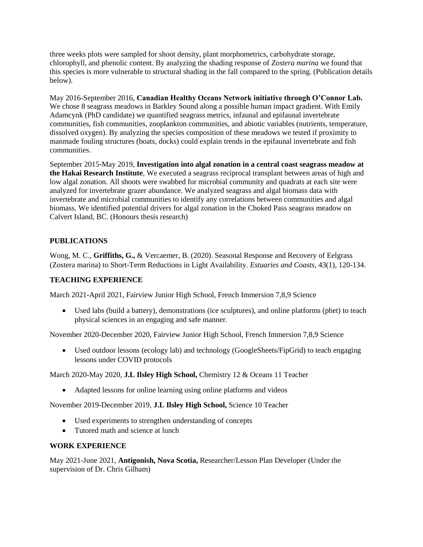three weeks plots were sampled for shoot density, plant morphometrics, carbohydrate storage, chlorophyll, and phenolic content. By analyzing the shading response of *Zostera marina* we found that this species is more vulnerable to structural shading in the fall compared to the spring. (Publication details below).

May 2016-September 2016, **Canadian Healthy Oceans Network initiative through O'Connor Lab.**  We chose 8 seagrass meadows in Barkley Sound along a possible human impact gradient. With Emily Adamcynk (PhD candidate) we quantified seagrass metrics, infaunal and epifaunal invertebrate communities, fish communities, zooplankton communities, and abiotic variables (nutrients, temperature, dissolved oxygen). By analyzing the species composition of these meadows we tested if proximity to manmade fouling structures (boats, docks) could explain trends in the epifaunal invertebrate and fish communities.

September 2015-May 2019, **Investigation into algal zonation in a central coast seagrass meadow at the Hakai Research Institute**, We executed a seagrass reciprocal transplant between areas of high and low algal zonation. All shoots were swabbed for microbial community and quadrats at each site were analyzed for invertebrate grazer abundance. We analyzed seagrass and algal biomass data with invertebrate and microbial communities to identify any correlations between communities and algal biomass. We identified potential drivers for algal zonation in the Choked Pass seagrass meadow on Calvert Island, BC. (Honours thesis research)

# **PUBLICATIONS**

Wong, M. C., **Griffiths, G.,** & Vercaemer, B. (2020). Seasonal Response and Recovery of Eelgrass (Zostera marina) to Short-Term Reductions in Light Availability. *Estuaries and Coasts*, 43(1), 120-134.

# **TEACHING EXPERIENCE**

March 2021-April 2021, Fairview Junior High School, French Immersion 7,8,9 Science

 Used labs (build a battery), demonstrations (ice sculptures), and online platforms (phet) to teach physical sciences in an engaging and safe manner.

November 2020-December 2020, Fairview Junior High School, French Immersion 7,8,9 Science

 Used outdoor lessons (ecology lab) and technology (GoogleSheets/FipGrid) to teach engaging lessons under COVID protocols

March 2020-May 2020, **J.L Ilsley High School,** Chemistry 12 & Oceans 11 Teacher

Adapted lessons for online learning using online platforms and videos

November 2019-December 2019, **J.L Ilsley High School,** Science 10 Teacher

- Used experiments to strengthen understanding of concepts
- Tutored math and science at lunch

### **WORK EXPERIENCE**

May 2021-June 2021, **Antigonish, Nova Scotia,** Researcher/Lesson Plan Developer (Under the supervision of Dr. Chris Gilham)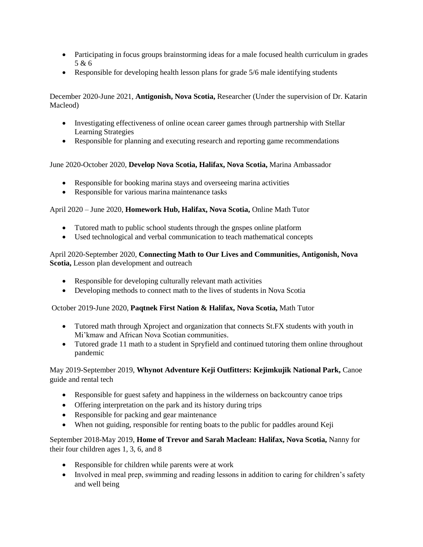- Participating in focus groups brainstorming ideas for a male focused health curriculum in grades 5 & 6
- Responsible for developing health lesson plans for grade 5/6 male identifying students

December 2020-June 2021, **Antigonish, Nova Scotia,** Researcher (Under the supervision of Dr. Katarin Macleod)

- Investigating effectiveness of online ocean career games through partnership with Stellar Learning Strategies
- Responsible for planning and executing research and reporting game recommendations

June 2020-October 2020, **Develop Nova Scotia, Halifax, Nova Scotia,** Marina Ambassador

- Responsible for booking marina stays and overseeing marina activities
- Responsible for various marina maintenance tasks

April 2020 – June 2020, **Homework Hub, Halifax, Nova Scotia,** Online Math Tutor

- Tutored math to public school students through the gnspes online platform
- Used technological and verbal communication to teach mathematical concepts

April 2020-September 2020, **Connecting Math to Our Lives and Communities, Antigonish, Nova Scotia,** Lesson plan development and outreach

- Responsible for developing culturally relevant math activities
- Developing methods to connect math to the lives of students in Nova Scotia

October 2019-June 2020, **Paqtnek First Nation & Halifax, Nova Scotia,** Math Tutor

- Tutored math through Xproject and organization that connects St.FX students with youth in Mi'kmaw and African Nova Scotian communities.
- Tutored grade 11 math to a student in Spryfield and continued tutoring them online throughout pandemic

### May 2019-September 2019, **Whynot Adventure Keji Outfitters: Kejimkujik National Park,** Canoe guide and rental tech

- Responsible for guest safety and happiness in the wilderness on backcountry canoe trips
- Offering interpretation on the park and its history during trips
- Responsible for packing and gear maintenance
- When not guiding, responsible for renting boats to the public for paddles around Keji

September 2018-May 2019, **Home of Trevor and Sarah Maclean: Halifax, Nova Scotia,** Nanny for their four children ages 1, 3, 6, and 8

- Responsible for children while parents were at work
- Involved in meal prep, swimming and reading lessons in addition to caring for children's safety and well being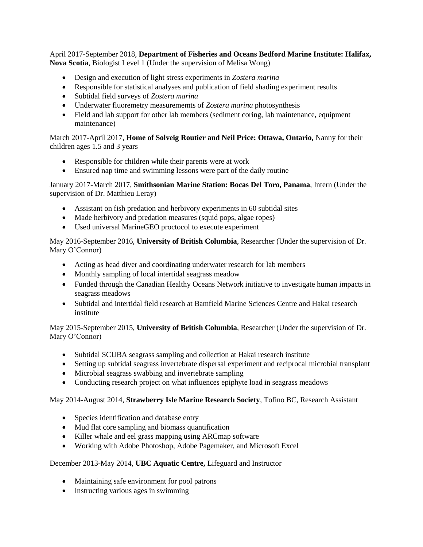April 2017-September 2018, **Department of Fisheries and Oceans Bedford Marine Institute: Halifax, Nova Scotia**, Biologist Level 1 (Under the supervision of Melisa Wong)

- Design and execution of light stress experiments in *Zostera marina*
- Responsible for statistical analyses and publication of field shading experiment results
- Subtidal field surveys of *Zostera marina*
- Underwater fluoremetry measurememts of *Zostera marina* photosynthesis
- Field and lab support for other lab members (sediment coring, lab maintenance, equipment maintenance)

March 2017-April 2017, **Home of Solveig Routier and Neil Price: Ottawa, Ontario,** Nanny for their children ages 1.5 and 3 years

- Responsible for children while their parents were at work
- Ensured nap time and swimming lessons were part of the daily routine

January 2017-March 2017, **Smithsonian Marine Station: Bocas Del Toro, Panama**, Intern (Under the supervision of Dr. Matthieu Leray)

- Assistant on fish predation and herbivory experiments in 60 subtidal sites
- Made herbivory and predation measures (squid pops, algae ropes)
- Used universal MarineGEO proctocol to execute experiment

May 2016-September 2016, **University of British Columbia**, Researcher (Under the supervision of Dr. Mary O'Connor)

- Acting as head diver and coordinating underwater research for lab members
- Monthly sampling of local intertidal seagrass meadow
- Funded through the Canadian Healthy Oceans Network initiative to investigate human impacts in seagrass meadows
- Subtidal and intertidal field research at Bamfield Marine Sciences Centre and Hakai research institute

May 2015-September 2015, **University of British Columbia**, Researcher (Under the supervision of Dr. Mary O'Connor)

- Subtidal SCUBA seagrass sampling and collection at Hakai research institute
- Setting up subtidal seagrass invertebrate dispersal experiment and reciprocal microbial transplant
- Microbial seagrass swabbing and invertebrate sampling
- Conducting research project on what influences epiphyte load in seagrass meadows

### May 2014-August 2014, **Strawberry Isle Marine Research Society**, Tofino BC, Research Assistant

- Species identification and database entry
- Mud flat core sampling and biomass quantification
- Killer whale and eel grass mapping using ARCmap software
- Working with Adobe Photoshop, Adobe Pagemaker, and Microsoft Excel

### December 2013-May 2014, **UBC Aquatic Centre,** Lifeguard and Instructor

- Maintaining safe environment for pool patrons
- Instructing various ages in swimming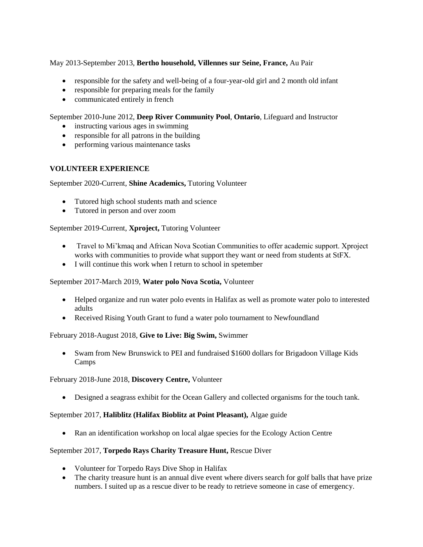# May 2013-September 2013, **Bertho household, Villennes sur Seine, France,** Au Pair

- responsible for the safety and well-being of a four-year-old girl and 2 month old infant
- responsible for preparing meals for the family
- communicated entirely in french

## September 2010-June 2012, **Deep River Community Pool**, **Ontario**, Lifeguard and Instructor

- instructing various ages in swimming
- responsible for all patrons in the building
- performing various maintenance tasks

# **VOLUNTEER EXPERIENCE**

### September 2020-Current, **Shine Academics,** Tutoring Volunteer

- Tutored high school students math and science
- Tutored in person and over zoom

# September 2019-Current, **Xproject,** Tutoring Volunteer

- Travel to Mi'kmaq and African Nova Scotian Communities to offer academic support. Xproject works with communities to provide what support they want or need from students at StFX.
- I will continue this work when I return to school in spetember

### September 2017-March 2019, **Water polo Nova Scotia,** Volunteer

- Helped organize and run water polo events in Halifax as well as promote water polo to interested adults
- Received Rising Youth Grant to fund a water polo tournament to Newfoundland

### February 2018-August 2018, **Give to Live: Big Swim,** Swimmer

 Swam from New Brunswick to PEI and fundraised \$1600 dollars for Brigadoon Village Kids Camps

### February 2018-June 2018, **Discovery Centre,** Volunteer

Designed a seagrass exhibit for the Ocean Gallery and collected organisms for the touch tank.

# September 2017, **Haliblitz (Halifax Bioblitz at Point Pleasant),** Algae guide

Ran an identification workshop on local algae species for the Ecology Action Centre

### September 2017, **Torpedo Rays Charity Treasure Hunt,** Rescue Diver

- Volunteer for Torpedo Rays Dive Shop in Halifax
- The charity treasure hunt is an annual dive event where divers search for golf balls that have prize numbers. I suited up as a rescue diver to be ready to retrieve someone in case of emergency.